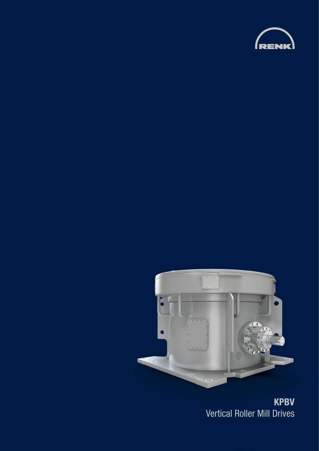



**KPBV**  Vertical Roller Mill Drives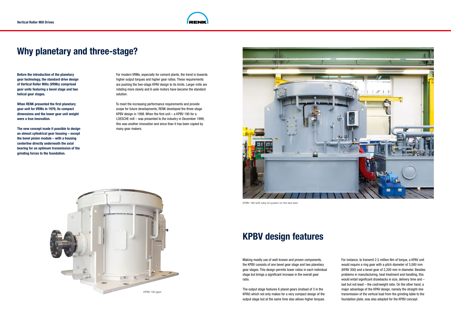## **Why planetary and three-stage?**

For modern VRMs, especially for cement plants, the trend is towards higher output torques and higher gear ratios. These requirements are pushing the two-stage KPAV design to its limits. Larger mills are rotating more slowly and 6-pole motors have become the standard solution.

To meet the increasing performance requirements and provide scope for future developments, RENK developed the three-stage KPBV design in 1998. When the first unit – a KPBV 190 for a LOESCHE mill – was presented to the industry in December 1999, this was another innovation and since than it has been copied by many gear makers.

**Before the introduction of the planetary gear technology, the standard drive design of Vertical Roller Mills (VRMs) comprised gear units featuring a bevel stage and two helical gear stages.** 

**When RENK presented the first planetary gear unit for VRMs in 1979, its compact dimensions and the lower gear unit weight were a true innovation.** 

**The new concept made it possible to design an almost cylindrical gear housing – except the bevel pinion module – with a housing centerline directly underneath the axial bearing for an optimum transmission of the grinding forces to the foundation.**



*KPBV 180 with lube oil system on the test bed*

## **KPBV design features**

Making mostly use of well-known and proven components, the KPBV consists of one bevel gear stage and two planetary gear stages. This design permits lower ratios in each individual stage but brings a significant increase in the overall gear ratio.

The output stage features 6 planet gears (instead of 3 in the KPAV) which not only makes for a very compact design of the output stage but at the same time also allows higher torques. For instance, to transmit 2.5 million Nm of torque, a KPAV unit would require a ring gear with a pitch diameter of 3,000 mm (KPAV 300) and a bevel gear of 2,200 mm in diameter. Besides problems in manufacturing, heat treatment and handling, this would entail significant drawbacks in size, delivery time and – last but not least – the cost/weight ratio. On the other hand, a major advantage of the KPAV design, namely the straight-line transmission of the vertical load from the grinding table to the foundation plate, was also adopted for the KPBV concept.



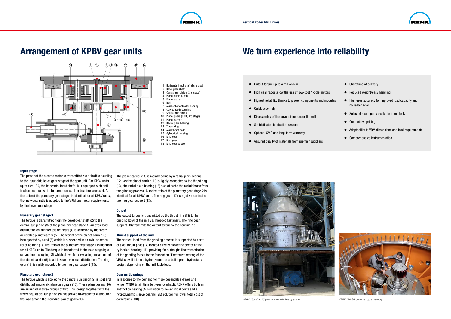1 Horizontal input shaft (1st stage)

- Bevel gear shaft 3 Central sun pinion (2nd stage)
- Planet gears (3 off)
- 5 Planet carrier
- 6 Rod
- 7 Axial spherical roller bearing
- 8 Curved tooth coupling
- 9 Central sun pinion
- 10 Planet gears (6 off, 3rd stage)
- 11 Planet carrier
- 12 Radial plain bearing
- 13 Thrust ring
- 14 Axial thrust pads
- 15 Cylindrical housing
- 16 Ring gear 17 Ring gear
- 18 Ring gear support

The output torque is transmitted by the thrust ring (13) to the grinding bowl of the mill via threaded fasteners. The ring gear support (18) transmits the output torque to the housing (15).

# **Arrangement of KPBV gear units**

The planet carrier (11) is radially borne by a radial plain bearing (12). As the planet carrier (11) is rigidly connected to the thrust ring (13), the radial plain bearing (12) also absorbs the radial forces from the grinding process. Also the ratio of the planetary gear stage 2 is identical for all KPBV units. The ring gear (17) is rigidly mounted to the ring gear support (18).

### **Output**

#### **Thrust support of the mill**

The vertical load from the grinding process is supported by a set of axial thrust pads (14) located directly above the center of the cylindrical housing (15), providing for a straight-line transmission of the grinding forces to the foundation. The thrust bearing of the VRM is available in a hydrodynamic or a bullet proof hydrostatic design, depending on the mill table load.

### **Gear unit bearings**

In response to the demand for more dependable drives and longer MTBO (main time between overhaul), RENK offers both an antifriction bearing (AB) solution for lower initial costs and a hydrodynamic sleeve bearing (SB) solution for lower total cost of ownership (TCO).

#### **Input stage**

- Output torque up to 4 million Nm
- High gear ratios allow the use of low-cost 4-pole motors
- Highest reliability thanks to proven components and modules
- Quick assembly
- Disassembly of the bevel pinion under the mill
- Sophisticated lubrication system
- Optional CMS and long-term warranty
- Assured quality of materials from premier suppliers

The power of the electric motor is transmitted via a flexible coupling to the input-side bevel gear stage of the gear unit. For KPBV units up to size 180, the horizontal input shaft (1) is equipped with antifriction bearings while for larger units, slide bearings are used. As the ratio of the planetary gear stages is identical for all KPBV units, the individual ratio is adapted to the VRM and motor requirements by the bevel gear stage.

- Short time of delivery
- Reduced weight/easy handling
- High gear accuracy for improved load capacity and noise behavior
- Selected spare parts available from stock
- Competitive pricing
- Adaptability to VRM dimensions and load requirements
- Comprehensive instrumentation



### **Planetary gear stage 1**

The torque is transmitted from the bevel gear shaft (2) to the central sun pinion (3) of the planetary gear stage 1. An even load distribution on all three planet gears (4) is achieved by the freely adjustable planet carrier (5). The weight of the planet carrier (5) is supported by a rod (6) which is suspended in an axial spherical roller bearing (7). The ratio of the planetary gear stage 1 is identical for all KPBV units. The torque is transferred to the next stage by a curved tooth coupling (8) which allows for a swiveling movement of the planet carrier (5) to achieve an even load distribution. The ring gear (16) is rigidly mounted to the ring gear support (18).

#### **Planetary gear stage 2**

The torque which is applied to the central sun pinion (9) is split and distributed among six planetary gears (10). These planet gears (10) are arranged in three groups of two. This design together with the freely adjustable sun pinion (9) has proved favorable for distributing the load among the individual planet gears (10).





*KPBV 130 after 15 years of trouble free operation. KPBV 190 SB during shop assembly.*



# **We turn experience into reliability**